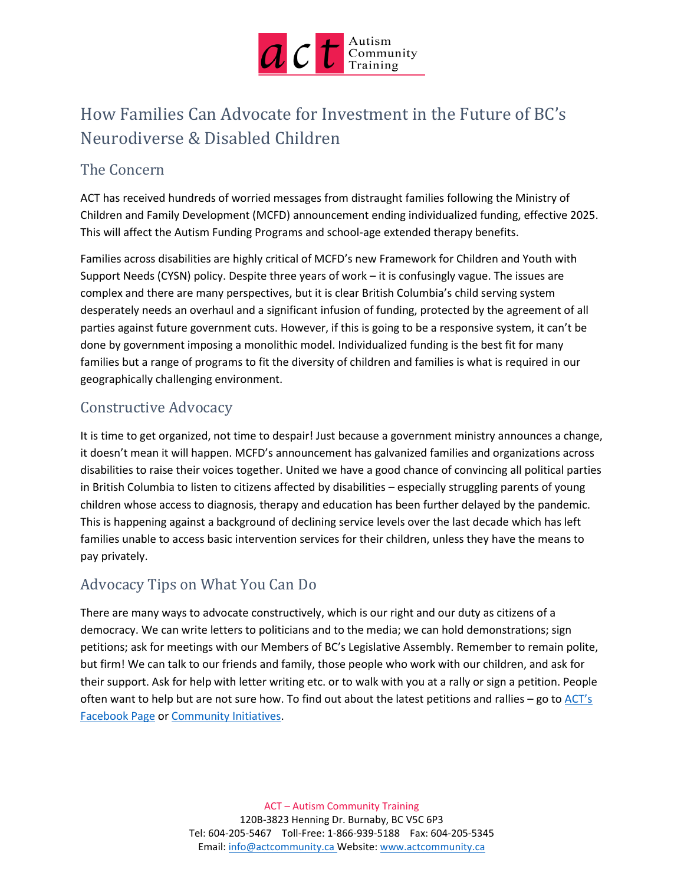

# How Families Can Advocate for Investment in the Future of BC's Neurodiverse & Disabled Children

# The Concern

ACT has received hundreds of worried messages from distraught families following the Ministry of Children and Family Development (MCFD) announcement ending individualized funding, effective 2025. This will affect the Autism Funding Programs and school-age extended therapy benefits.

Families across disabilities are highly critical of MCFD's new Framework for Children and Youth with Support Needs (CYSN) policy. Despite three years of work – it is confusingly vague. The issues are complex and there are many perspectives, but it is clear British Columbia's child serving system desperately needs an overhaul and a significant infusion of funding, protected by the agreement of all parties against future government cuts. However, if this is going to be a responsive system, it can't be done by government imposing a monolithic model. Individualized funding is the best fit for many families but a range of programs to fit the diversity of children and families is what is required in our geographically challenging environment.

### Constructive Advocacy

It is time to get organized, not time to despair! Just because a government ministry announces a change, it doesn't mean it will happen. MCFD's announcement has galvanized families and organizations across disabilities to raise their voices together. United we have a good chance of convincing all political parties in British Columbia to listen to citizens affected by disabilities – especially struggling parents of young children whose access to diagnosis, therapy and education has been further delayed by the pandemic. This is happening against a background of declining service levels over the last decade which has left families unable to access basic intervention services for their children, unless they have the means to pay privately.

### Advocacy Tips on What You Can Do

There are many ways to advocate constructively, which is our right and our duty as citizens of a democracy. We can write letters to politicians and to the media; we can hold demonstrations; sign petitions; ask for meetings with our Members of BC's Legislative Assembly. Remember to remain polite, but firm! We can talk to our friends and family, those people who work with our children, and ask for their support. Ask for help with letter writing etc. or to walk with you at a rally or sign a petition. People often want to help but are not sure how. To find out about the latest petitions and rallies – go to  $\angle$ ACT's [Facebook Page](https://www.facebook.com/AutismCommunityTraining) or [Community Initiatives.](https://www.actcommunity.ca/new-mcfd-framework-for-children-with-support-needs#sign-the-petition)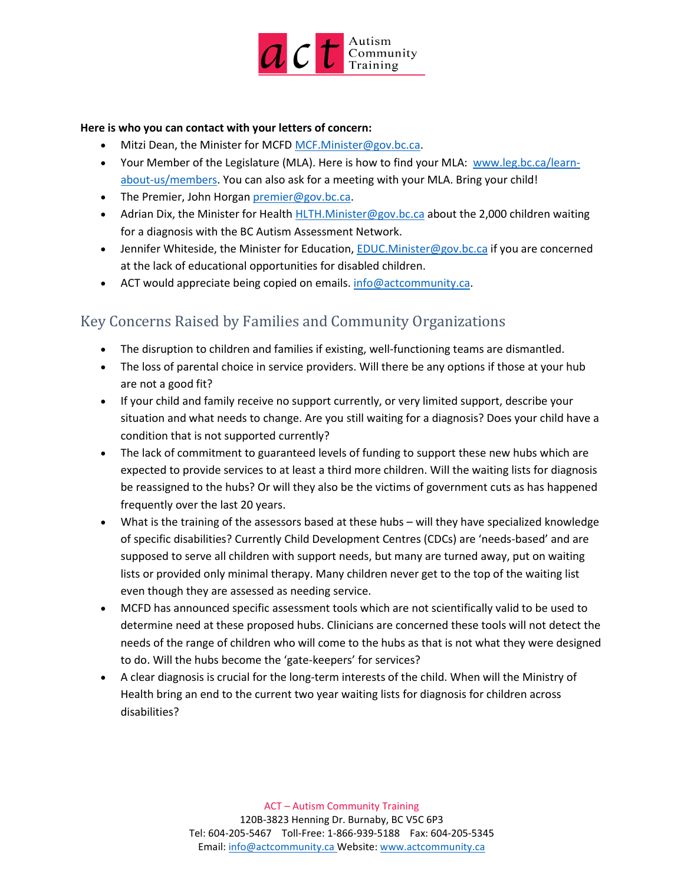

#### **Here is who you can contact with your letters of concern:**

- Mitzi Dean, the Minister for MCFD [MCF.Minister@gov.bc.ca.](mailto:MCF.Minister@gov.bc.ca)
- Your Member of the Legislature (MLA). Here is how to find your MLA:  [www.leg.bc.ca/learn](http://www.leg.bc.ca/learn-about-us/members)[about-us/members.](http://www.leg.bc.ca/learn-about-us/members) You can also ask for a meeting with your MLA. Bring your child!
- The Premier, John Horgan [premier@gov.bc.ca.](mailto:premier@gov.bc.ca)
- Adrian Dix, the Minister for Health [HLTH.Minister@gov.bc.ca](mailto:HLTH.Minister@gov.bc.ca) about the 2,000 children waiting for a diagnosis with the BC Autism Assessment Network.
- Jennifer Whiteside, the Minister for Education, [EDUC.Minister@gov.bc.ca](mailto:%20EDUC.Minister@gov.bc.ca) if you are concerned at the lack of educational opportunities for disabled children.
- ACT would appreciate being copied on emails. [info@actcommunity.ca.](mailto:info@actcommunity.ca)

### Key Concerns Raised by Families and Community Organizations

- The disruption to children and families if existing, well-functioning teams are dismantled.
- The loss of parental choice in service providers. Will there be any options if those at your hub are not a good fit?
- If your child and family receive no support currently, or very limited support, describe your situation and what needs to change. Are you still waiting for a diagnosis? Does your child have a condition that is not supported currently?
- The lack of commitment to guaranteed levels of funding to support these new hubs which are expected to provide services to at least a third more children. Will the waiting lists for diagnosis be reassigned to the hubs? Or will they also be the victims of government cuts as has happened frequently over the last 20 years.
- What is the training of the assessors based at these hubs will they have specialized knowledge of specific disabilities? Currently Child Development Centres (CDCs) are 'needs-based' and are supposed to serve all children with support needs, but many are turned away, put on waiting lists or provided only minimal therapy. Many children never get to the top of the waiting list even though they are assessed as needing service.
- MCFD has announced specific assessment tools which are not scientifically valid to be used to determine need at these proposed hubs. Clinicians are concerned these tools will not detect the needs of the range of children who will come to the hubs as that is not what they were designed to do. Will the hubs become the 'gate-keepers' for services?
- A clear diagnosis is crucial for the long-term interests of the child. When will the Ministry of Health bring an end to the current two year waiting lists for diagnosis for children across disabilities?